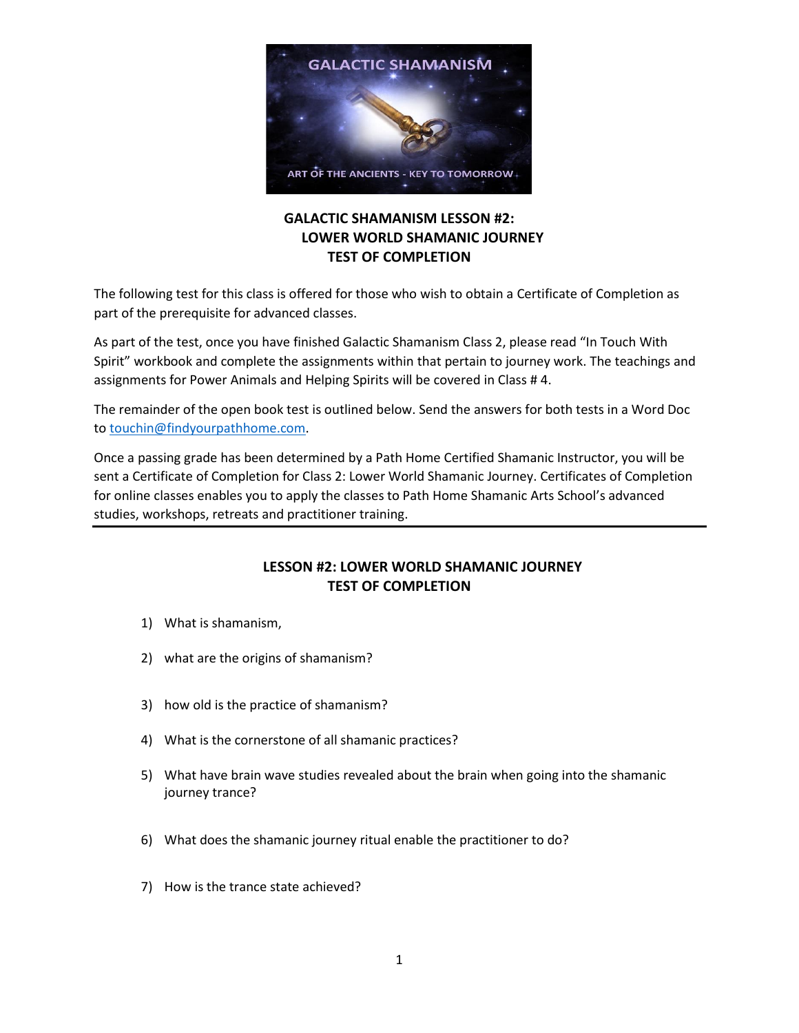

## **GALACTIC SHAMANISM LESSON #2: LOWER WORLD SHAMANIC JOURNEY TEST OF COMPLETION**

The following test for this class is offered for those who wish to obtain a Certificate of Completion as part of the prerequisite for advanced classes.

As part of the test, once you have finished Galactic Shamanism Class 2, please read "In Touch With Spirit" workbook and complete the assignments within that pertain to journey work. The teachings and assignments for Power Animals and Helping Spirits will be covered in Class # 4.

The remainder of the open book test is outlined below. Send the answers for both tests in a Word Doc to [touchin@findyourpathhome.com.](mailto:touchin@findyourpathhome.com)

Once a passing grade has been determined by a Path Home Certified Shamanic Instructor, you will be sent a Certificate of Completion for Class 2: Lower World Shamanic Journey. Certificates of Completion for online classes enables you to apply the classes to Path Home Shamanic Arts School's advanced studies, workshops, retreats and practitioner training.

## **LESSON #2: LOWER WORLD SHAMANIC JOURNEY TEST OF COMPLETION**

- 1) What is shamanism,
- 2) what are the origins of shamanism?
- 3) how old is the practice of shamanism?
- 4) What is the cornerstone of all shamanic practices?
- 5) What have brain wave studies revealed about the brain when going into the shamanic journey trance?
- 6) What does the shamanic journey ritual enable the practitioner to do?
- 7) How is the trance state achieved?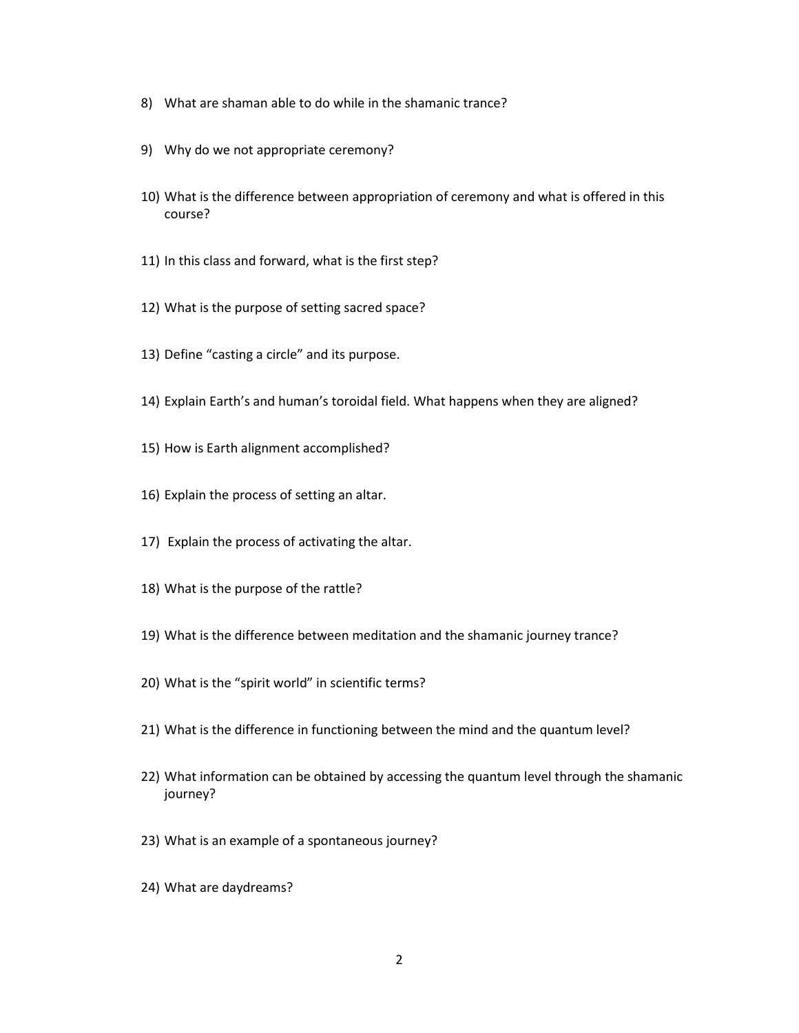- 8) What are shaman able to do while in the shamanic trance?
- 9) Why do we not appropriate ceremony?
- 10) What is the difference between appropriation of ceremony and what is offered in this course?
- 11) In this class and forward, what is the first step?
- 12) What is the purpose of setting sacred space?
- 13) Define "casting a circle" and its purpose.
- 14) Explain Earth's and human's toroidal field. What happens when they are aligned?
- 15) How is Earth alignment accomplished?
- 16) Explain the process of setting an altar.
- 17) Explain the process of activating the altar.
- 18) What is the purpose of the rattle?
- 19) What is the difference between meditation and the shamanic journey trance?
- 20) What is the "spirit world" in scientific terms?
- 21) What is the difference in functioning between the mind and the quantum level?
- 22) What information can be obtained by accessing the quantum level through the shamanic journey?
- 23) What is an example of a spontaneous journey?
- 24) What are daydreams?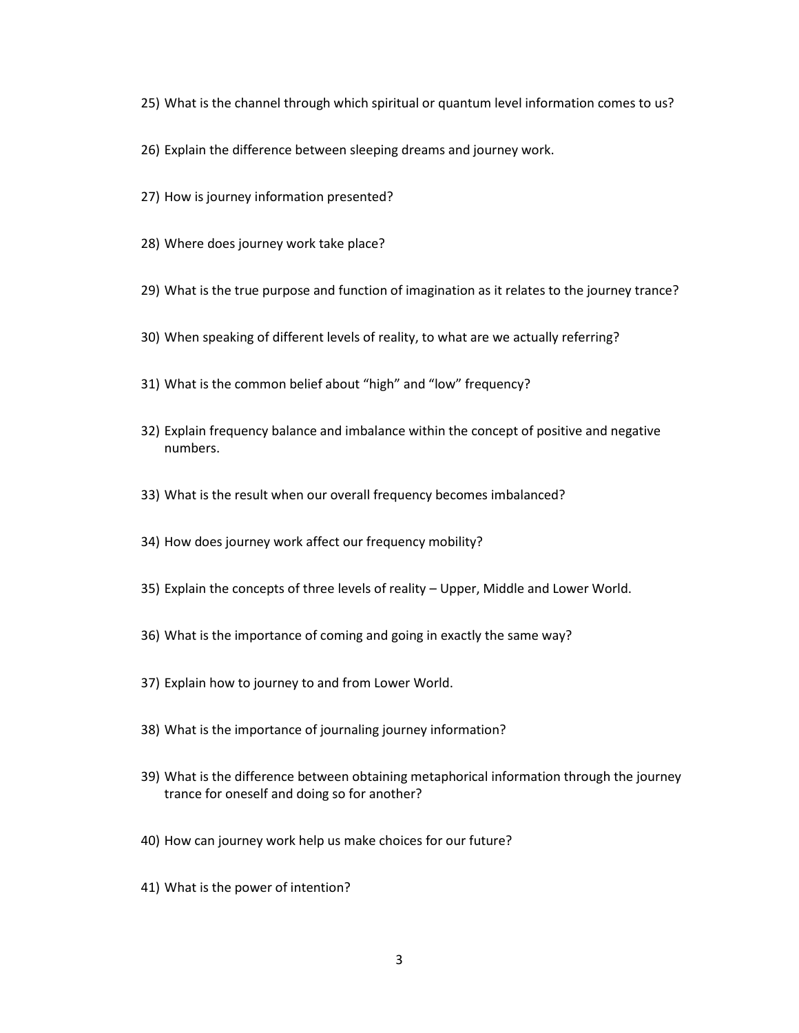- 25) What is the channel through which spiritual or quantum level information comes to us?
- 26) Explain the difference between sleeping dreams and journey work.
- 27) How is journey information presented?
- 28) Where does journey work take place?
- 29) What is the true purpose and function of imagination as it relates to the journey trance?
- 30) When speaking of different levels of reality, to what are we actually referring?
- 31) What is the common belief about "high" and "low" frequency?
- 32) Explain frequency balance and imbalance within the concept of positive and negative numbers.
- 33) What is the result when our overall frequency becomes imbalanced?
- 34) How does journey work affect our frequency mobility?
- 35) Explain the concepts of three levels of reality Upper, Middle and Lower World.
- 36) What is the importance of coming and going in exactly the same way?
- 37) Explain how to journey to and from Lower World.
- 38) What is the importance of journaling journey information?
- 39) What is the difference between obtaining metaphorical information through the journey trance for oneself and doing so for another?
- 40) How can journey work help us make choices for our future?
- 41) What is the power of intention?